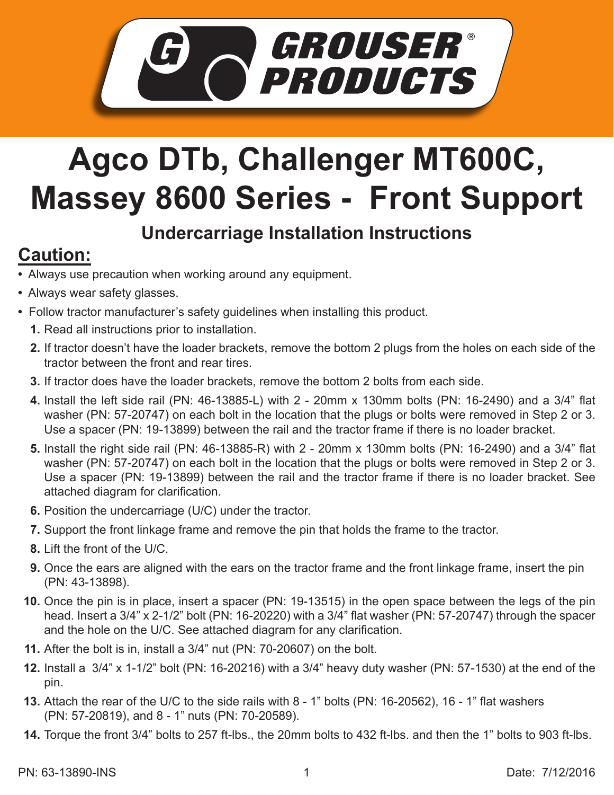

## **Agco DTb, Challenger MT600C, Massey 8600 Series - Front Support**

## **Undercarriage Installation Instructions**

## **Caution:**

- Always use precaution when working around any equipment.
- Always wear safety glasses.
- Follow tractor manufacturer's safety guidelines when installing this product.
	- **1.** Read all instructions prior to installation.
	- If tractor doesn't have the loader brackets, remove the bottom 2 plugs from the holes on each side of the **2.** tractor between the front and rear tires.
	- If tractor does have the loader brackets, remove the bottom 2 bolts from each side. **3.**
	- Install the left side rail (PN: 46-13885-L) with 2 20mm x 130mm bolts (PN: 16-2490) and a 3/4" flat **4.** washer (PN: 57-20747) on each bolt in the location that the plugs or bolts were removed in Step 2 or 3. Use a spacer (PN: 19-13899) between the rail and the tractor frame if there is no loader bracket.
	- **5.** Install the right side rail (PN: 46-13885-R) with 2 20mm x 130mm bolts (PN: 16-2490) and a 3/4" flat washer (PN: 57-20747) on each bolt in the location that the plugs or bolts were removed in Step 2 or 3. Use a spacer (PN: 19-13899) between the rail and the tractor frame if there is no loader bracket. See attached diagram for clarification.
	- **6.** Position the undercarriage (U/C) under the tractor.
	- **7.** Support the front linkage frame and remove the pin that holds the frame to the tractor.
	- Lift the front of the U/C. **8.**
	- **9.** Once the ears are aligned with the ears on the tractor frame and the front linkage frame, insert the pin (PN: 43-13898).
	- **10.** Once the pin is in place, insert a spacer (PN: 19-13515) in the open space between the legs of the pin head. Insert a 3/4" x 2-1/2" bolt (PN: 16-20220) with a 3/4" flat washer (PN: 57-20747) through the spacer and the hole on the U/C. See attached diagram for any clarification.
	- **11.** After the bolt is in, install a 3/4" nut (PN: 70-20607) on the bolt.
	- Install a 3/4" x 1-1/2" bolt (PN: 16-20216) with a 3/4" heavy duty washer (PN: 57-1530) at the end of the **12.** pin.
	- **13.** Attach the rear of the U/C to the side rails with 8 1" bolts (PN: 16-20562), 16 1" flat washers (PN: 57-20819), and 8 - 1" nuts (PN: 70-20589).
	- Torque the front 3/4" bolts to 257 ft-lbs., the 20mm bolts to 432 ft-lbs. and then the 1" bolts to 903 ft-lbs. **14.**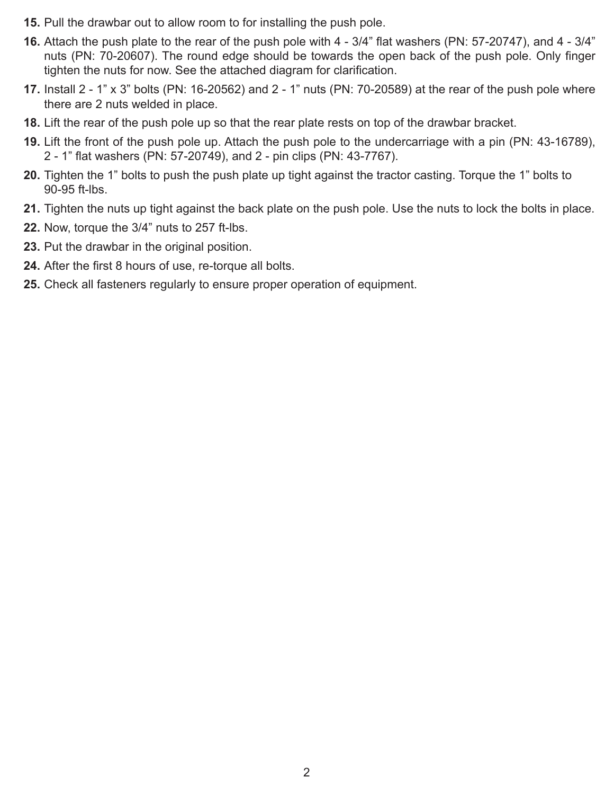- **15.** Pull the drawbar out to allow room to for installing the push pole.
- Attach the push plate to the rear of the push pole with 4 3/4" flat washers (PN: 57-20747), and 4 3/4" **16.** nuts (PN: 70-20607). The round edge should be towards the open back of the push pole. Only finger tighten the nuts for now. See the attached diagram for clarification.
- **17.** Install 2 1" x 3" bolts (PN: 16-20562) and 2 1" nuts (PN: 70-20589) at the rear of the push pole where there are 2 nuts welded in place.
- Lift the rear of the push pole up so that the rear plate rests on top of the drawbar bracket. **18.**
- **19.** Lift the front of the push pole up. Attach the push pole to the undercarriage with a pin (PN: 43-16789), 2 - 1" flat washers (PN: 57-20749), and 2 - pin clips (PN: 43-7767).
- **20.** Tighten the 1" bolts to push the push plate up tight against the tractor casting. Torque the 1" bolts to 90-95 ft-lbs.
- 21. Tighten the nuts up tight against the back plate on the push pole. Use the nuts to lock the bolts in place.
- **22.** Now, torque the 3/4" nuts to 257 ft-lbs.
- **23.** Put the drawbar in the original position.
- After the first 8 hours of use, re-torque all bolts. **24.**
- **25.** Check all fasteners regularly to ensure proper operation of equipment.